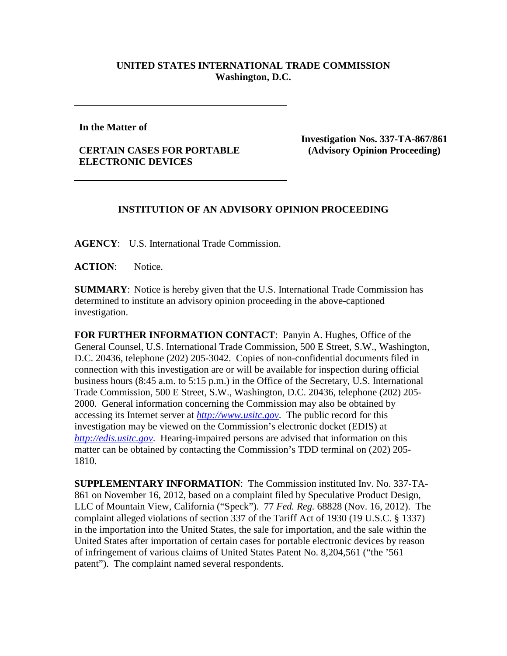## **UNITED STATES INTERNATIONAL TRADE COMMISSION Washington, D.C.**

**In the Matter of** 

## **CERTAIN CASES FOR PORTABLE ELECTRONIC DEVICES**

**Investigation Nos. 337-TA-867/861 (Advisory Opinion Proceeding)**

## **INSTITUTION OF AN ADVISORY OPINION PROCEEDING**

**AGENCY**: U.S. International Trade Commission.

**ACTION**: Notice.

**SUMMARY**: Notice is hereby given that the U.S. International Trade Commission has determined to institute an advisory opinion proceeding in the above-captioned investigation.

**FOR FURTHER INFORMATION CONTACT**: Panyin A. Hughes, Office of the General Counsel, U.S. International Trade Commission, 500 E Street, S.W., Washington, D.C. 20436, telephone (202) 205-3042. Copies of non-confidential documents filed in connection with this investigation are or will be available for inspection during official business hours (8:45 a.m. to 5:15 p.m.) in the Office of the Secretary, U.S. International Trade Commission, 500 E Street, S.W., Washington, D.C. 20436, telephone (202) 205- 2000. General information concerning the Commission may also be obtained by accessing its Internet server at *[http://www.usitc.gov](http://www.usitc.gov/)*. The public record for this investigation may be viewed on the Commission's electronic docket (EDIS) at *[http://edis.usitc.gov](http://edis.usitc.gov/)*. Hearing-impaired persons are advised that information on this matter can be obtained by contacting the Commission's TDD terminal on (202) 205- 1810.

**SUPPLEMENTARY INFORMATION**: The Commission instituted Inv. No. 337-TA-861 on November 16, 2012, based on a complaint filed by Speculative Product Design, LLC of Mountain View, California ("Speck"). 77 *Fed. Reg.* 68828 (Nov. 16, 2012). The complaint alleged violations of section 337 of the Tariff Act of 1930 (19 U.S.C. § 1337) in the importation into the United States, the sale for importation, and the sale within the United States after importation of certain cases for portable electronic devices by reason of infringement of various claims of United States Patent No. 8,204,561 ("the '561 patent"). The complaint named several respondents.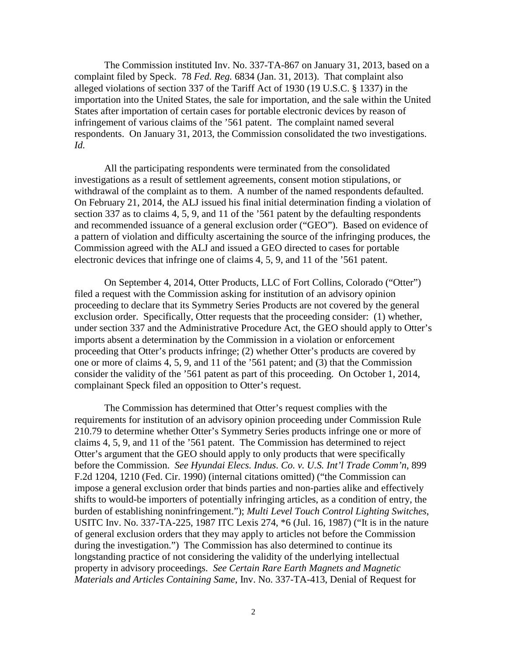The Commission instituted Inv. No. 337-TA-867 on January 31, 2013, based on a complaint filed by Speck. 78 *Fed. Reg.* 6834 (Jan. 31, 2013). That complaint also alleged violations of section 337 of the Tariff Act of 1930 (19 U.S.C. § 1337) in the importation into the United States, the sale for importation, and the sale within the United States after importation of certain cases for portable electronic devices by reason of infringement of various claims of the '561 patent. The complaint named several respondents. On January 31, 2013, the Commission consolidated the two investigations. *Id.*

All the participating respondents were terminated from the consolidated investigations as a result of settlement agreements, consent motion stipulations, or withdrawal of the complaint as to them. A number of the named respondents defaulted. On February 21, 2014, the ALJ issued his final initial determination finding a violation of section 337 as to claims 4, 5, 9, and 11 of the '561 patent by the defaulting respondents and recommended issuance of a general exclusion order ("GEO"). Based on evidence of a pattern of violation and difficulty ascertaining the source of the infringing produces, the Commission agreed with the ALJ and issued a GEO directed to cases for portable electronic devices that infringe one of claims 4, 5, 9, and 11 of the '561 patent.

On September 4, 2014, Otter Products, LLC of Fort Collins, Colorado ("Otter") filed a request with the Commission asking for institution of an advisory opinion proceeding to declare that its Symmetry Series Products are not covered by the general exclusion order. Specifically, Otter requests that the proceeding consider: (1) whether, under section 337 and the Administrative Procedure Act, the GEO should apply to Otter's imports absent a determination by the Commission in a violation or enforcement proceeding that Otter's products infringe; (2) whether Otter's products are covered by one or more of claims 4, 5, 9, and 11 of the '561 patent; and (3) that the Commission consider the validity of the '561 patent as part of this proceeding. On October 1, 2014, complainant Speck filed an opposition to Otter's request.

The Commission has determined that Otter's request complies with the requirements for institution of an advisory opinion proceeding under Commission Rule 210.79 to determine whether Otter's Symmetry Series products infringe one or more of claims 4, 5, 9, and 11 of the '561 patent. The Commission has determined to reject Otter's argument that the GEO should apply to only products that were specifically before the Commission. *See Hyundai Elecs. Indus. Co. v. U.S. Int'l Trade Comm'n*, 899 F.2d 1204, 1210 (Fed. Cir. 1990) (internal citations omitted) ("the Commission can impose a general exclusion order that binds parties and non-parties alike and effectively shifts to would-be importers of potentially infringing articles, as a condition of entry, the burden of establishing noninfringement."); *Multi Level Touch Control Lighting Switches*, USITC Inv. No. 337-TA-225, 1987 ITC Lexis 274, \*6 (Jul. 16, 1987) ("It is in the nature of general exclusion orders that they may apply to articles not before the Commission during the investigation.") The Commission has also determined to continue its longstanding practice of not considering the validity of the underlying intellectual property in advisory proceedings. *See Certain Rare Earth Magnets and Magnetic Materials and Articles Containing Same*, Inv. No. 337-TA-413, Denial of Request for